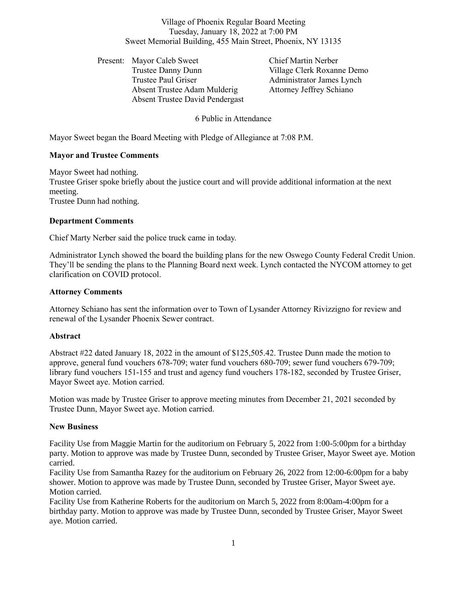Village of Phoenix Regular Board Meeting Tuesday, January 18, 2022 at 7:00 PM Sweet Memorial Building, 455 Main Street, Phoenix, NY 13135

Present: Mayor Caleb Sweet Chief Martin Nerber Trustee Danny Dunn Village Clerk Roxanne Demo Trustee Paul Griser **Administrator James Lynch** Absent Trustee Adam Mulderig Attorney Jeffrey Schiano Absent Trustee David Pendergast

6 Public in Attendance

Mayor Sweet began the Board Meeting with Pledge of Allegiance at 7:08 P.M.

# **Mayor and Trustee Comments**

Mayor Sweet had nothing. Trustee Griser spoke briefly about the justice court and will provide additional information at the next meeting. Trustee Dunn had nothing.

# **Department Comments**

Chief Marty Nerber said the police truck came in today.

Administrator Lynch showed the board the building plans for the new Oswego County Federal Credit Union. They'll be sending the plans to the Planning Board next week. Lynch contacted the NYCOM attorney to get clarification on COVID protocol.

# **Attorney Comments**

Attorney Schiano has sent the information over to Town of Lysander Attorney Rivizzigno for review and renewal of the Lysander Phoenix Sewer contract.

## **Abstract**

Abstract #22 dated January 18, 2022 in the amount of \$125,505.42. Trustee Dunn made the motion to approve, general fund vouchers 678-709; water fund vouchers 680-709; sewer fund vouchers 679-709; library fund vouchers 151-155 and trust and agency fund vouchers 178-182, seconded by Trustee Griser, Mayor Sweet aye. Motion carried.

Motion was made by Trustee Griser to approve meeting minutes from December 21, 2021 seconded by Trustee Dunn, Mayor Sweet aye. Motion carried.

## **New Business**

Facility Use from Maggie Martin for the auditorium on February 5, 2022 from 1:00-5:00pm for a birthday party. Motion to approve was made by Trustee Dunn, seconded by Trustee Griser, Mayor Sweet aye. Motion carried.

Facility Use from Samantha Razey for the auditorium on February 26, 2022 from 12:00-6:00pm for a baby shower. Motion to approve was made by Trustee Dunn, seconded by Trustee Griser, Mayor Sweet aye. Motion carried.

Facility Use from Katherine Roberts for the auditorium on March 5, 2022 from 8:00am-4:00pm for a birthday party. Motion to approve was made by Trustee Dunn, seconded by Trustee Griser, Mayor Sweet aye. Motion carried.